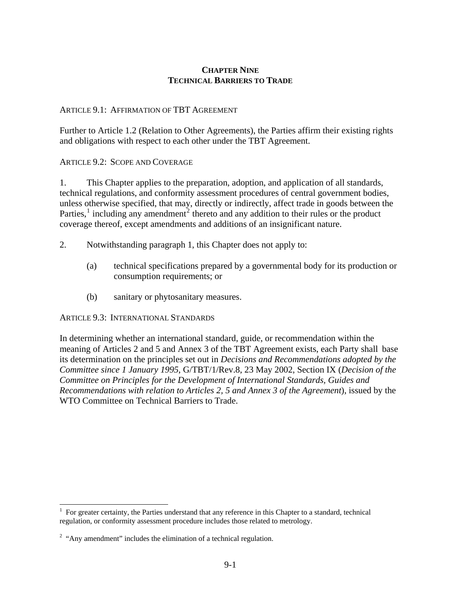# **CHAPTER NINE TECHNICAL BARRIERS TO TRADE**

## ARTICLE 9.1: AFFIRMATION OF TBT AGREEMENT

Further to Article 1.2 (Relation to Other Agreements), the Parties affirm their existing rights and obligations with respect to each other under the TBT Agreement.

#### ARTICLE 9.2: SCOPE AND COVERAGE

1. This Chapter applies to the preparation, adoption, and application of all standards, technical regulations, and conformity assessment procedures of central government bodies, unless otherwise specified, that may, directly or indirectly, affect trade in goods between the Parties,<sup>[1](#page-0-0)</sup> including any amendment<sup>[2](#page-0-1)</sup> thereto and any addition to their rules or the product coverage thereof, except amendments and additions of an insignificant nature.

- 2. Notwithstanding paragraph 1, this Chapter does not apply to:
	- (a) technical specifications prepared by a governmental body for its production or consumption requirements; or
	- (b) sanitary or phytosanitary measures.

#### ARTICLE 9.3: INTERNATIONAL STANDARDS

In determining whether an international standard, guide, or recommendation within the meaning of Articles 2 and 5 and Annex 3 of the TBT Agreement exists, each Party shall base its determination on the principles set out in *Decisions and Recommendations adopted by the Committee since 1 January 1995*, G/TBT/1/Rev.8, 23 May 2002, Section IX (*Decision of the Committee on Principles for the Development of International Standards, Guides and Recommendations with relation to Articles 2, 5 and Annex 3 of the Agreement*), issued by the WTO Committee on Technical Barriers to Trade.

 $\overline{\phantom{a}}$ 

<span id="page-0-0"></span><sup>&</sup>lt;sup>1</sup> For greater certainty, the Parties understand that any reference in this Chapter to a standard, technical regulation, or conformity assessment procedure includes those related to metrology.

<span id="page-0-1"></span> $2$  "Any amendment" includes the elimination of a technical regulation.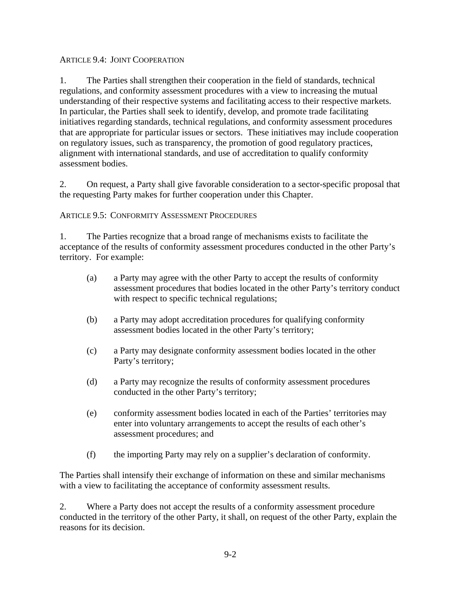## ARTICLE 9.4: JOINT COOPERATION

1. The Parties shall strengthen their cooperation in the field of standards, technical regulations, and conformity assessment procedures with a view to increasing the mutual understanding of their respective systems and facilitating access to their respective markets. In particular, the Parties shall seek to identify, develop, and promote trade facilitating initiatives regarding standards, technical regulations, and conformity assessment procedures that are appropriate for particular issues or sectors. These initiatives may include cooperation on regulatory issues, such as transparency, the promotion of good regulatory practices, alignment with international standards, and use of accreditation to qualify conformity assessment bodies.

2. On request, a Party shall give favorable consideration to a sector-specific proposal that the requesting Party makes for further cooperation under this Chapter.

### ARTICLE 9.5: CONFORMITY ASSESSMENT PROCEDURES

1. The Parties recognize that a broad range of mechanisms exists to facilitate the acceptance of the results of conformity assessment procedures conducted in the other Party's territory. For example:

- (a) a Party may agree with the other Party to accept the results of conformity assessment procedures that bodies located in the other Party's territory conduct with respect to specific technical regulations;
- (b) a Party may adopt accreditation procedures for qualifying conformity assessment bodies located in the other Party's territory;
- (c) a Party may designate conformity assessment bodies located in the other Party's territory;
- (d) a Party may recognize the results of conformity assessment procedures conducted in the other Party's territory;
- (e) conformity assessment bodies located in each of the Parties' territories may enter into voluntary arrangements to accept the results of each other's assessment procedures; and
- (f) the importing Party may rely on a supplier's declaration of conformity.

The Parties shall intensify their exchange of information on these and similar mechanisms with a view to facilitating the acceptance of conformity assessment results.

2. Where a Party does not accept the results of a conformity assessment procedure conducted in the territory of the other Party, it shall, on request of the other Party, explain the reasons for its decision.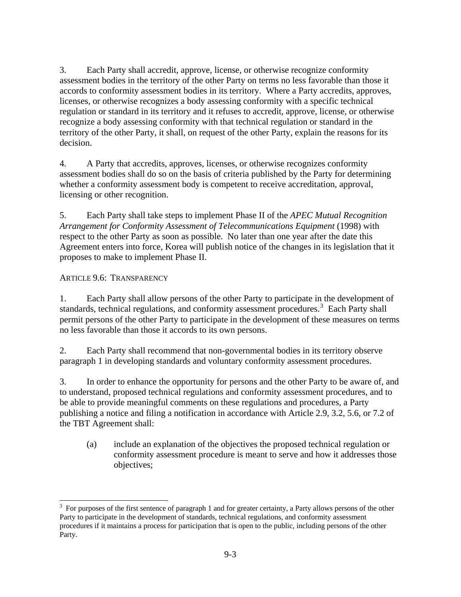3. Each Party shall accredit, approve, license, or otherwise recognize conformity assessment bodies in the territory of the other Party on terms no less favorable than those it accords to conformity assessment bodies in its territory. Where a Party accredits, approves, licenses, or otherwise recognizes a body assessing conformity with a specific technical regulation or standard in its territory and it refuses to accredit, approve, license, or otherwise recognize a body assessing conformity with that technical regulation or standard in the territory of the other Party, it shall, on request of the other Party, explain the reasons for its decision.

4. A Party that accredits, approves, licenses, or otherwise recognizes conformity assessment bodies shall do so on the basis of criteria published by the Party for determining whether a conformity assessment body is competent to receive accreditation, approval, licensing or other recognition.

5. Each Party shall take steps to implement Phase II of the *APEC Mutual Recognition Arrangement for Conformity Assessment of Telecommunications Equipment* (1998) with respect to the other Party as soon as possible. No later than one year after the date this Agreement enters into force, Korea will publish notice of the changes in its legislation that it proposes to make to implement Phase II.

# ARTICLE 9.6: TRANSPARENCY

 $\overline{\phantom{a}}$ 

1. Each Party shall allow persons of the other Party to participate in the development of standards, technical regulations, and conformity assessment procedures.<sup>[3](#page-2-0)</sup> Each Party shall permit persons of the other Party to participate in the development of these measures on terms no less favorable than those it accords to its own persons.

2.Each Party shall recommend that non-governmental bodies in its territory observe paragraph 1 in developing standards and voluntary conformity assessment procedures.

3. In order to enhance the opportunity for persons and the other Party to be aware of, and to understand, proposed technical regulations and conformity assessment procedures, and to be able to provide meaningful comments on these regulations and procedures, a Party publishing a notice and filing a notification in accordance with Article 2.9, 3.2, 5.6, or 7.2 of the TBT Agreement shall:

(a) include an explanation of the objectives the proposed technical regulation or conformity assessment procedure is meant to serve and how it addresses those objectives;

<span id="page-2-0"></span> $3\,$  For purposes of the first sentence of paragraph 1 and for greater certainty, a Party allows persons of the other Party to participate in the development of standards, technical regulations, and conformity assessment procedures if it maintains a process for participation that is open to the public, including persons of the other Party.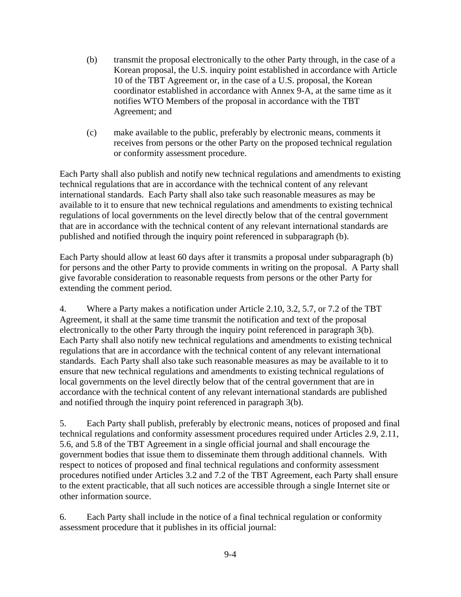- (b) transmit the proposal electronically to the other Party through, in the case of a Korean proposal, the U.S. inquiry point established in accordance with Article 10 of the TBT Agreement or, in the case of a U.S. proposal, the Korean coordinator established in accordance with Annex 9-A, at the same time as it notifies WTO Members of the proposal in accordance with the TBT Agreement; and
- (c) make available to the public, preferably by electronic means, comments it receives from persons or the other Party on the proposed technical regulation or conformity assessment procedure.

Each Party shall also publish and notify new technical regulations and amendments to existing technical regulations that are in accordance with the technical content of any relevant international standards. Each Party shall also take such reasonable measures as may be available to it to ensure that new technical regulations and amendments to existing technical regulations of local governments on the level directly below that of the central government that are in accordance with the technical content of any relevant international standards are published and notified through the inquiry point referenced in subparagraph (b).

Each Party should allow at least 60 days after it transmits a proposal under subparagraph (b) for persons and the other Party to provide comments in writing on the proposal. A Party shall give favorable consideration to reasonable requests from persons or the other Party for extending the comment period.

4. Where a Party makes a notification under Article 2.10, 3.2, 5.7, or 7.2 of the TBT Agreement, it shall at the same time transmit the notification and text of the proposal electronically to the other Party through the inquiry point referenced in paragraph 3(b). Each Party shall also notify new technical regulations and amendments to existing technical regulations that are in accordance with the technical content of any relevant international standards. Each Party shall also take such reasonable measures as may be available to it to ensure that new technical regulations and amendments to existing technical regulations of local governments on the level directly below that of the central government that are in accordance with the technical content of any relevant international standards are published and notified through the inquiry point referenced in paragraph 3(b).

5. Each Party shall publish, preferably by electronic means, notices of proposed and final technical regulations and conformity assessment procedures required under Articles 2.9, 2.11, 5.6, and 5.8 of the TBT Agreement in a single official journal and shall encourage the government bodies that issue them to disseminate them through additional channels. With respect to notices of proposed and final technical regulations and conformity assessment procedures notified under Articles 3.2 and 7.2 of the TBT Agreement, each Party shall ensure to the extent practicable, that all such notices are accessible through a single Internet site or other information source.

6. Each Party shall include in the notice of a final technical regulation or conformity assessment procedure that it publishes in its official journal: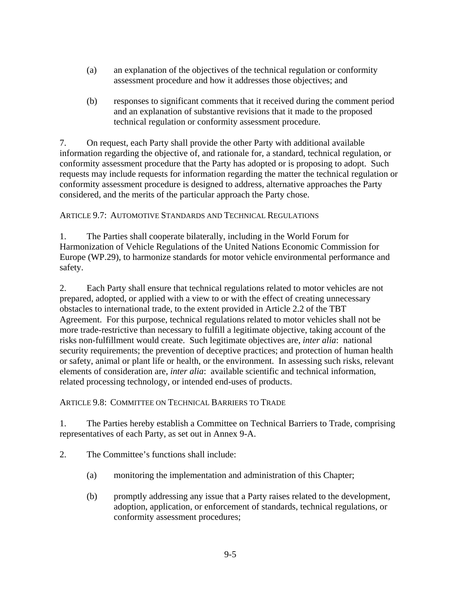- (a) an explanation of the objectives of the technical regulation or conformity assessment procedure and how it addresses those objectives; and
- (b) responses to significant comments that it received during the comment period and an explanation of substantive revisions that it made to the proposed technical regulation or conformity assessment procedure.

7. On request, each Party shall provide the other Party with additional available information regarding the objective of, and rationale for, a standard, technical regulation, or conformity assessment procedure that the Party has adopted or is proposing to adopt. Such requests may include requests for information regarding the matter the technical regulation or conformity assessment procedure is designed to address, alternative approaches the Party considered, and the merits of the particular approach the Party chose.

ARTICLE 9.7: AUTOMOTIVE STANDARDS AND TECHNICAL REGULATIONS

1. The Parties shall cooperate bilaterally, including in the World Forum for Harmonization of Vehicle Regulations of the United Nations Economic Commission for Europe (WP.29), to harmonize standards for motor vehicle environmental performance and safety.

2. Each Party shall ensure that technical regulations related to motor vehicles are not prepared, adopted, or applied with a view to or with the effect of creating unnecessary obstacles to international trade, to the extent provided in Article 2.2 of the TBT Agreement. For this purpose, technical regulations related to motor vehicles shall not be more trade-restrictive than necessary to fulfill a legitimate objective, taking account of the risks non-fulfillment would create. Such legitimate objectives are, *inter alia*: national security requirements; the prevention of deceptive practices; and protection of human health or safety, animal or plant life or health, or the environment. In assessing such risks, relevant elements of consideration are, *inter alia*: available scientific and technical information, related processing technology, or intended end-uses of products.

ARTICLE 9.8: COMMITTEE ON TECHNICAL BARRIERS TO TRADE

1. The Parties hereby establish a Committee on Technical Barriers to Trade, comprising representatives of each Party, as set out in Annex 9-A.

2. The Committee's functions shall include:

- (a) monitoring the implementation and administration of this Chapter;
- (b) promptly addressing any issue that a Party raises related to the development, adoption, application, or enforcement of standards, technical regulations, or conformity assessment procedures;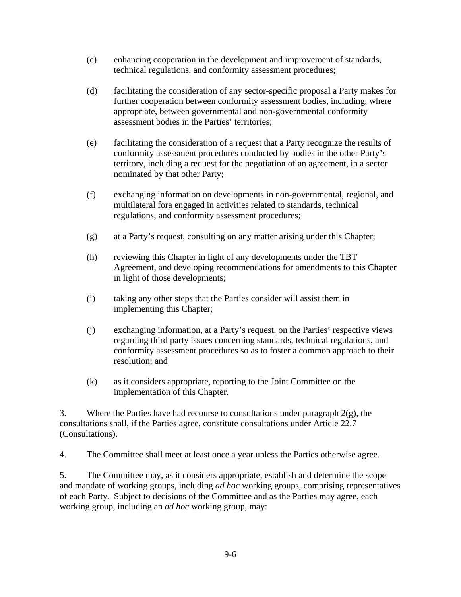- (c) enhancing cooperation in the development and improvement of standards, technical regulations, and conformity assessment procedures;
- (d) facilitating the consideration of any sector-specific proposal a Party makes for further cooperation between conformity assessment bodies, including, where appropriate, between governmental and non-governmental conformity assessment bodies in the Parties' territories;
- (e) facilitating the consideration of a request that a Party recognize the results of conformity assessment procedures conducted by bodies in the other Party's territory, including a request for the negotiation of an agreement, in a sector nominated by that other Party;
- (f) exchanging information on developments in non-governmental, regional, and multilateral fora engaged in activities related to standards, technical regulations, and conformity assessment procedures;
- (g) at a Party's request, consulting on any matter arising under this Chapter;
- (h) reviewing this Chapter in light of any developments under the TBT Agreement, and developing recommendations for amendments to this Chapter in light of those developments;
- (i) taking any other steps that the Parties consider will assist them in implementing this Chapter;
- (j) exchanging information, at a Party's request, on the Parties' respective views regarding third party issues concerning standards, technical regulations, and conformity assessment procedures so as to foster a common approach to their resolution; and
- (k) as it considers appropriate, reporting to the Joint Committee on the implementation of this Chapter.

3. Where the Parties have had recourse to consultations under paragraph  $2(g)$ , the consultations shall, if the Parties agree, constitute consultations under Article 22.7 (Consultations).

4. The Committee shall meet at least once a year unless the Parties otherwise agree.

5. The Committee may, as it considers appropriate, establish and determine the scope and mandate of working groups, including *ad hoc* working groups, comprising representatives of each Party. Subject to decisions of the Committee and as the Parties may agree, each working group, including an *ad hoc* working group, may: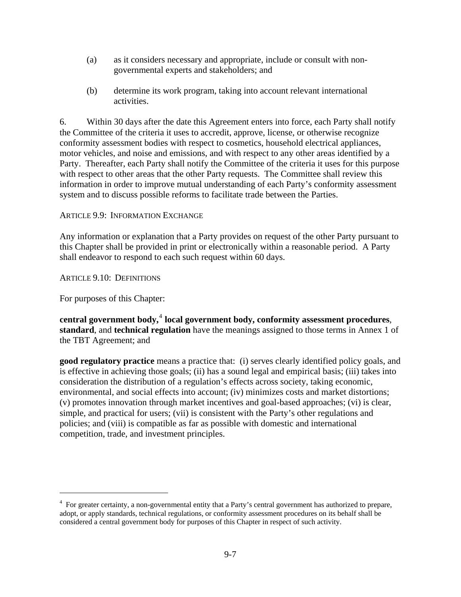- (a) as it considers necessary and appropriate, include or consult with nongovernmental experts and stakeholders; and
- (b) determine its work program, taking into account relevant international activities.

6. Within 30 days after the date this Agreement enters into force, each Party shall notify the Committee of the criteria it uses to accredit, approve, license, or otherwise recognize conformity assessment bodies with respect to cosmetics, household electrical appliances, motor vehicles, and noise and emissions, and with respect to any other areas identified by a Party. Thereafter, each Party shall notify the Committee of the criteria it uses for this purpose with respect to other areas that the other Party requests. The Committee shall review this information in order to improve mutual understanding of each Party's conformity assessment system and to discuss possible reforms to facilitate trade between the Parties.

### ARTICLE 9.9: INFORMATION EXCHANGE

Any information or explanation that a Party provides on request of the other Party pursuant to this Chapter shall be provided in print or electronically within a reasonable period. A Party shall endeavor to respond to each such request within 60 days.

ARTICLE 9.10: DEFINITIONS

For purposes of this Chapter:

 $\overline{\phantom{a}}$ 

**central government body,**[4](#page-6-0)  **local government body, conformity assessment procedures**, **standard**, and **technical regulation** have the meanings assigned to those terms in Annex 1 of the TBT Agreement; and

**good regulatory practice** means a practice that: (i) serves clearly identified policy goals, and is effective in achieving those goals; (ii) has a sound legal and empirical basis; (iii) takes into consideration the distribution of a regulation's effects across society, taking economic, environmental, and social effects into account; (iv) minimizes costs and market distortions; (v) promotes innovation through market incentives and goal-based approaches; (vi) is clear, simple, and practical for users; (vii) is consistent with the Party's other regulations and policies; and (viii) is compatible as far as possible with domestic and international competition, trade, and investment principles.

<span id="page-6-0"></span><sup>&</sup>lt;sup>4</sup> For greater certainty, a non-governmental entity that a Party's central government has authorized to prepare, adopt, or apply standards, technical regulations, or conformity assessment procedures on its behalf shall be considered a central government body for purposes of this Chapter in respect of such activity.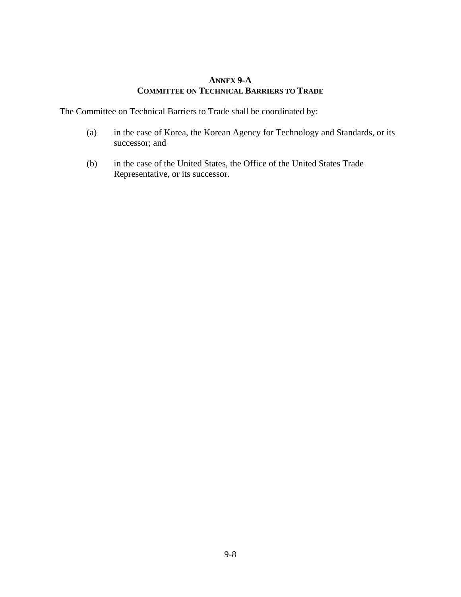### **ANNEX 9-A COMMITTEE ON TECHNICAL BARRIERS TO TRADE**

The Committee on Technical Barriers to Trade shall be coordinated by:

- (a) in the case of Korea, the Korean Agency for Technology and Standards, or its successor; and
- (b) in the case of the United States, the Office of the United States Trade Representative, or its successor.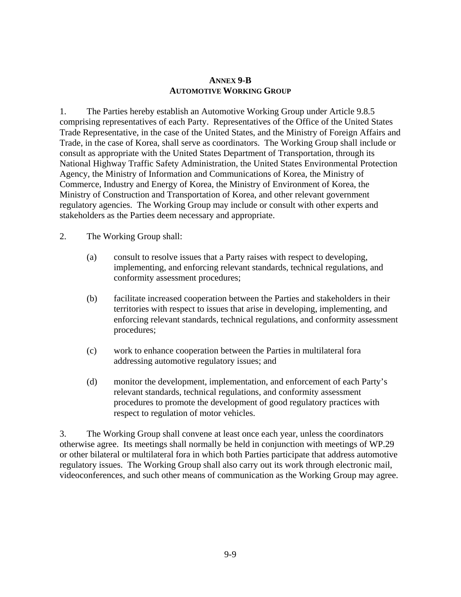#### **ANNEX 9-B AUTOMOTIVE WORKING GROUP**

1. The Parties hereby establish an Automotive Working Group under Article 9.8.5 comprising representatives of each Party. Representatives of the Office of the United States Trade Representative, in the case of the United States, and the Ministry of Foreign Affairs and Trade, in the case of Korea, shall serve as coordinators. The Working Group shall include or consult as appropriate with the United States Department of Transportation, through its National Highway Traffic Safety Administration, the United States Environmental Protection Agency, the Ministry of Information and Communications of Korea, the Ministry of Commerce, Industry and Energy of Korea, the Ministry of Environment of Korea, the Ministry of Construction and Transportation of Korea, and other relevant government regulatory agencies. The Working Group may include or consult with other experts and stakeholders as the Parties deem necessary and appropriate.

2. The Working Group shall:

- (a) consult to resolve issues that a Party raises with respect to developing, implementing, and enforcing relevant standards, technical regulations, and conformity assessment procedures;
- (b) facilitate increased cooperation between the Parties and stakeholders in their territories with respect to issues that arise in developing, implementing, and enforcing relevant standards, technical regulations, and conformity assessment procedures;
- (c) work to enhance cooperation between the Parties in multilateral fora addressing automotive regulatory issues; and
- (d) monitor the development, implementation, and enforcement of each Party's relevant standards, technical regulations, and conformity assessment procedures to promote the development of good regulatory practices with respect to regulation of motor vehicles.

3. The Working Group shall convene at least once each year, unless the coordinators otherwise agree. Its meetings shall normally be held in conjunction with meetings of WP.29 or other bilateral or multilateral fora in which both Parties participate that address automotive regulatory issues. The Working Group shall also carry out its work through electronic mail, videoconferences, and such other means of communication as the Working Group may agree.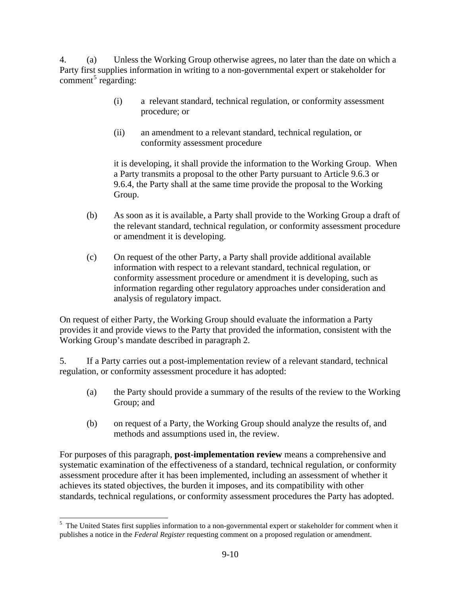4. (a) Unless the Working Group otherwise agrees, no later than the date on which a Party first supplies information in writing to a non-governmental expert or stakeholder for  $comment<sup>5</sup> regarding:$  $comment<sup>5</sup> regarding:$  $comment<sup>5</sup> regarding:$ 

- (i) a relevant standard, technical regulation, or conformity assessment procedure; or
- (ii) an amendment to a relevant standard, technical regulation, or conformity assessment procedure

it is developing, it shall provide the information to the Working Group. When a Party transmits a proposal to the other Party pursuant to Article 9.6.3 or 9.6.4, the Party shall at the same time provide the proposal to the Working Group.

- (b) As soon as it is available, a Party shall provide to the Working Group a draft of the relevant standard, technical regulation, or conformity assessment procedure or amendment it is developing.
- (c) On request of the other Party, a Party shall provide additional available information with respect to a relevant standard, technical regulation, or conformity assessment procedure or amendment it is developing, such as information regarding other regulatory approaches under consideration and analysis of regulatory impact.

On request of either Party, the Working Group should evaluate the information a Party provides it and provide views to the Party that provided the information, consistent with the Working Group's mandate described in paragraph 2.

5. If a Party carries out a post-implementation review of a relevant standard, technical regulation, or conformity assessment procedure it has adopted:

- (a) the Party should provide a summary of the results of the review to the Working Group; and
- (b) on request of a Party, the Working Group should analyze the results of, and methods and assumptions used in, the review.

For purposes of this paragraph, **post-implementation review** means a comprehensive and systematic examination of the effectiveness of a standard, technical regulation, or conformity assessment procedure after it has been implemented, including an assessment of whether it achieves its stated objectives, the burden it imposes, and its compatibility with other standards, technical regulations, or conformity assessment procedures the Party has adopted.

<span id="page-9-0"></span> $\overline{\phantom{a}}$ <sup>5</sup> The United States first supplies information to a non-governmental expert or stakeholder for comment when it publishes a notice in the *Federal Register* requesting comment on a proposed regulation or amendment.